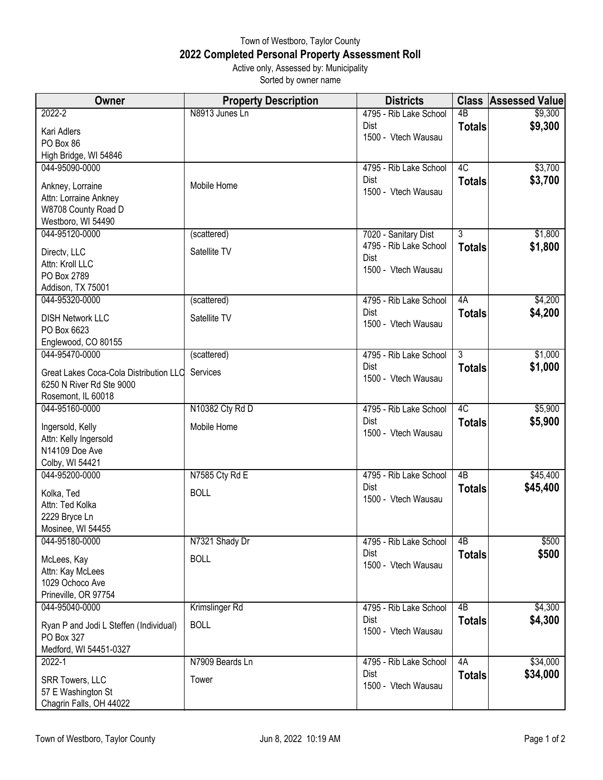## Town of Westboro, Taylor County **2022 Completed Personal Property Assessment Roll** Active only, Assessed by: Municipality

Sorted by owner name

| Owner                                          | <b>Property Description</b> | <b>Districts</b>               | <b>Class</b>   | <b>Assessed Value</b> |
|------------------------------------------------|-----------------------------|--------------------------------|----------------|-----------------------|
| $2022 - 2$                                     | N8913 Junes Ln              | 4795 - Rib Lake School         | 4 <sub>B</sub> | \$9,300               |
| Kari Adlers                                    |                             | Dist<br>1500 - Vtech Wausau    | <b>Totals</b>  | \$9,300               |
| PO Box 86                                      |                             |                                |                |                       |
| High Bridge, WI 54846                          |                             |                                |                |                       |
| 044-95090-0000                                 |                             | 4795 - Rib Lake School<br>Dist | 4C             | \$3,700               |
| Ankney, Lorraine                               | Mobile Home                 | 1500 - Vtech Wausau            | <b>Totals</b>  | \$3,700               |
| Attn: Lorraine Ankney                          |                             |                                |                |                       |
| W8708 County Road D<br>Westboro, WI 54490      |                             |                                |                |                       |
| 044-95120-0000                                 | (scattered)                 | 7020 - Sanitary Dist           | $\overline{3}$ | \$1,800               |
| Directv, LLC                                   | Satellite TV                | 4795 - Rib Lake School         | <b>Totals</b>  | \$1,800               |
| Attn: Kroll LLC                                |                             | Dist                           |                |                       |
| PO Box 2789                                    |                             | 1500 - Vtech Wausau            |                |                       |
| Addison, TX 75001                              |                             |                                |                |                       |
| 044-95320-0000                                 | (scattered)                 | 4795 - Rib Lake School         | 4A             | \$4,200               |
| <b>DISH Network LLC</b>                        | Satellite TV                | Dist<br>1500 - Vtech Wausau    | <b>Totals</b>  | \$4,200               |
| PO Box 6623                                    |                             |                                |                |                       |
| Englewood, CO 80155<br>044-95470-0000          |                             |                                | $\overline{3}$ |                       |
|                                                | (scattered)                 | 4795 - Rib Lake School<br>Dist | <b>Totals</b>  | \$1,000<br>\$1,000    |
| Great Lakes Coca-Cola Distribution LLC         | Services                    | 1500 - Vtech Wausau            |                |                       |
| 6250 N River Rd Ste 9000<br>Rosemont, IL 60018 |                             |                                |                |                       |
| 044-95160-0000                                 | N10382 Cty Rd D             | 4795 - Rib Lake School         | 4C             | \$5,900               |
|                                                | Mobile Home                 | Dist                           | <b>Totals</b>  | \$5,900               |
| Ingersold, Kelly<br>Attn: Kelly Ingersold      |                             | 1500 - Vtech Wausau            |                |                       |
| N14109 Doe Ave                                 |                             |                                |                |                       |
| Colby, WI 54421                                |                             |                                |                |                       |
| 044-95200-0000                                 | N7585 Cty Rd E              | 4795 - Rib Lake School         | 4B             | \$45,400              |
| Kolka, Ted                                     | <b>BOLL</b>                 | Dist<br>1500 - Vtech Wausau    | <b>Totals</b>  | \$45,400              |
| Attn: Ted Kolka                                |                             |                                |                |                       |
| 2229 Bryce Ln                                  |                             |                                |                |                       |
| Mosinee, WI 54455<br>044-95180-0000            | N7321 Shady Dr              | 4795 - Rib Lake School         | 4B             | \$500                 |
|                                                |                             | Dist                           | <b>Totals</b>  | \$500                 |
| McLees, Kay                                    | <b>BOLL</b>                 | 1500 - Vtech Wausau            |                |                       |
| Attn: Kay McLees<br>1029 Ochoco Ave            |                             |                                |                |                       |
| Prineville, OR 97754                           |                             |                                |                |                       |
| 044-95040-0000                                 | Krimslinger Rd              | 4795 - Rib Lake School         | 4B             | \$4,300               |
| Ryan P and Jodi L Steffen (Individual)         | <b>BOLL</b>                 | Dist                           | <b>Totals</b>  | \$4,300               |
| PO Box 327                                     |                             | 1500 - Vtech Wausau            |                |                       |
| Medford, WI 54451-0327                         |                             |                                |                |                       |
| $2022 - 1$                                     | N7909 Beards Ln             | 4795 - Rib Lake School         | 4A             | \$34,000              |
| <b>SRR Towers, LLC</b>                         | Tower                       | Dist<br>1500 - Vtech Wausau    | <b>Totals</b>  | \$34,000              |
| 57 E Washington St                             |                             |                                |                |                       |
| Chagrin Falls, OH 44022                        |                             |                                |                |                       |